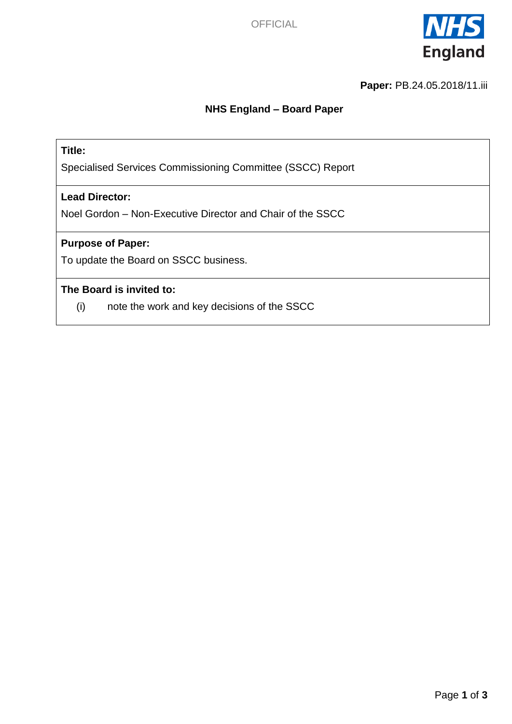

**Paper:** PB.24.05.2018/11.iii

### **NHS England – Board Paper**

### **Title:**

Specialised Services Commissioning Committee (SSCC) Report

#### **Lead Director:**

Noel Gordon – Non-Executive Director and Chair of the SSCC

#### **Purpose of Paper:**

To update the Board on SSCC business.

### **The Board is invited to:**

(i) note the work and key decisions of the SSCC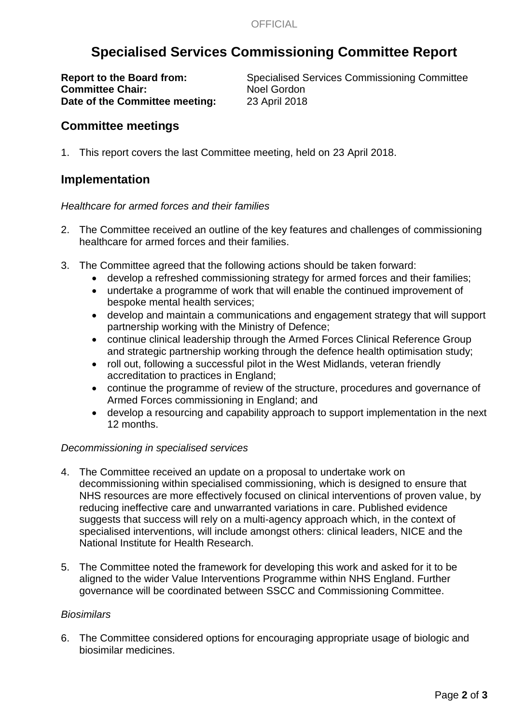# **Specialised Services Commissioning Committee Report**

**Committee Chair:** Noel Gordon **Date of the Committee meeting:** 23 April 2018

**Report to the Board from:** Specialised Services Commissioning Committee

### **Committee meetings**

1. This report covers the last Committee meeting, held on 23 April 2018.

### **Implementation**

#### *Healthcare for armed forces and their families*

- 2. The Committee received an outline of the key features and challenges of commissioning healthcare for armed forces and their families.
- 3. The Committee agreed that the following actions should be taken forward:
	- develop a refreshed commissioning strategy for armed forces and their families;
	- undertake a programme of work that will enable the continued improvement of bespoke mental health services;
	- develop and maintain a communications and engagement strategy that will support partnership working with the Ministry of Defence;
	- continue clinical leadership through the Armed Forces Clinical Reference Group and strategic partnership working through the defence health optimisation study;
	- roll out, following a successful pilot in the West Midlands, veteran friendly accreditation to practices in England;
	- continue the programme of review of the structure, procedures and governance of Armed Forces commissioning in England; and
	- develop a resourcing and capability approach to support implementation in the next 12 months.

#### *Decommissioning in specialised services*

- 4. The Committee received an update on a proposal to undertake work on decommissioning within specialised commissioning, which is designed to ensure that NHS resources are more effectively focused on clinical interventions of proven value, by reducing ineffective care and unwarranted variations in care. Published evidence suggests that success will rely on a multi-agency approach which, in the context of specialised interventions, will include amongst others: clinical leaders, NICE and the National Institute for Health Research.
- 5. The Committee noted the framework for developing this work and asked for it to be aligned to the wider Value Interventions Programme within NHS England. Further governance will be coordinated between SSCC and Commissioning Committee.

#### *Biosimilars*

6. The Committee considered options for encouraging appropriate usage of biologic and biosimilar medicines.